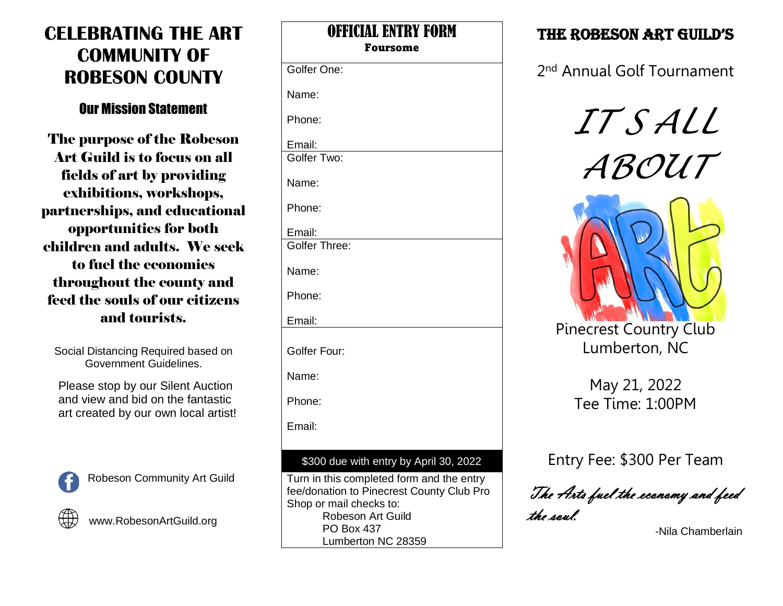# **CELEBRATING THE ART COMMUNITY OF ROBESON COUNTY**

### Our Mission Statement

The purpose of the Robeson Art Guild is to focus on all fields of art by providing exhibitions, workshops, partnerships, and educational opportunities for both children and adults. We seek to fuel the economies throughout the county and feed the souls of our citizens and tourists.

Social Distancing Required based on Government Guidelines.

Please stop by our Silent Auction and view and bid on the fantastic art created by our own local artist!



Robeson Community Art Guild



www.RobesonArtGuild.org

| VIIIWAL LIIII<br><b>Foursome</b>                                                                                  |
|-------------------------------------------------------------------------------------------------------------------|
| Golfer One:                                                                                                       |
| Name:                                                                                                             |
| Phone:                                                                                                            |
| Email:<br>Golfer Two:                                                                                             |
| Name:                                                                                                             |
| Phone:                                                                                                            |
| Email:<br>Golfer Three:                                                                                           |
| Name:                                                                                                             |
| Phone:                                                                                                            |
| Email:                                                                                                            |
| Golfer Four:                                                                                                      |
| Name:                                                                                                             |
| Phone:                                                                                                            |
| Email:                                                                                                            |
| \$300 due with entry by April 30, 2022                                                                            |
| Turn in this completed form and the entry<br>fee/donation to Pinecrest County Club Pro<br>Chan ar mail abaaka ta: |

OFFICIAL ENTRY FORM

Shop or mail checks to: Robeson Art Guild PO Box 437 Lumberton NC 28359

## THE ROBESON ART GUILD'S

2<sup>nd</sup> Annual Golf Tournament

*IT S ALL ABOUT*



Lumberton, NC

May 21, 2022 Tee Time: 1:00PM

Entry Fee: \$300 Per Team

The Arts fuel the economy and feed the soul.

-Nila Chamberlain